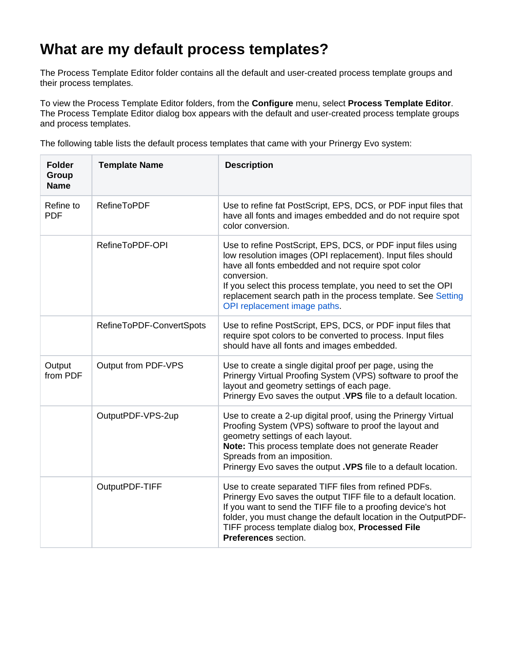## **What are my default process templates?**

The Process Template Editor folder contains all the default and user-created process template groups and their process templates.

To view the Process Template Editor folders, from the **Configure** menu, select **Process Template Editor**. The Process Template Editor dialog box appears with the default and user-created process template groups and process templates.

The following table lists the default process templates that came with your Prinergy Evo system:

| <b>Folder</b><br>Group<br><b>Name</b> | <b>Template Name</b>     | <b>Description</b>                                                                                                                                                                                                                                                                                                                                               |
|---------------------------------------|--------------------------|------------------------------------------------------------------------------------------------------------------------------------------------------------------------------------------------------------------------------------------------------------------------------------------------------------------------------------------------------------------|
| Refine to<br><b>PDF</b>               | <b>RefineToPDF</b>       | Use to refine fat PostScript, EPS, DCS, or PDF input files that<br>have all fonts and images embedded and do not require spot<br>color conversion.                                                                                                                                                                                                               |
|                                       | RefineToPDF-OPI          | Use to refine PostScript, EPS, DCS, or PDF input files using<br>low resolution images (OPI replacement). Input files should<br>have all fonts embedded and not require spot color<br>conversion.<br>If you select this process template, you need to set the OPI<br>replacement search path in the process template. See Setting<br>OPI replacement image paths. |
|                                       | RefineToPDF-ConvertSpots | Use to refine PostScript, EPS, DCS, or PDF input files that<br>require spot colors to be converted to process. Input files<br>should have all fonts and images embedded.                                                                                                                                                                                         |
| Output<br>from PDF                    | Output from PDF-VPS      | Use to create a single digital proof per page, using the<br>Prinergy Virtual Proofing System (VPS) software to proof the<br>layout and geometry settings of each page.<br>Prinergy Evo saves the output . VPS file to a default location.                                                                                                                        |
|                                       | OutputPDF-VPS-2up        | Use to create a 2-up digital proof, using the Prinergy Virtual<br>Proofing System (VPS) software to proof the layout and<br>geometry settings of each layout.<br>Note: This process template does not generate Reader<br>Spreads from an imposition.<br>Prinergy Evo saves the output . VPS file to a default location.                                          |
|                                       | OutputPDF-TIFF           | Use to create separated TIFF files from refined PDFs.<br>Prinergy Evo saves the output TIFF file to a default location.<br>If you want to send the TIFF file to a proofing device's hot<br>folder, you must change the default location in the OutputPDF-<br>TIFF process template dialog box, Processed File<br>Preferences section.                            |